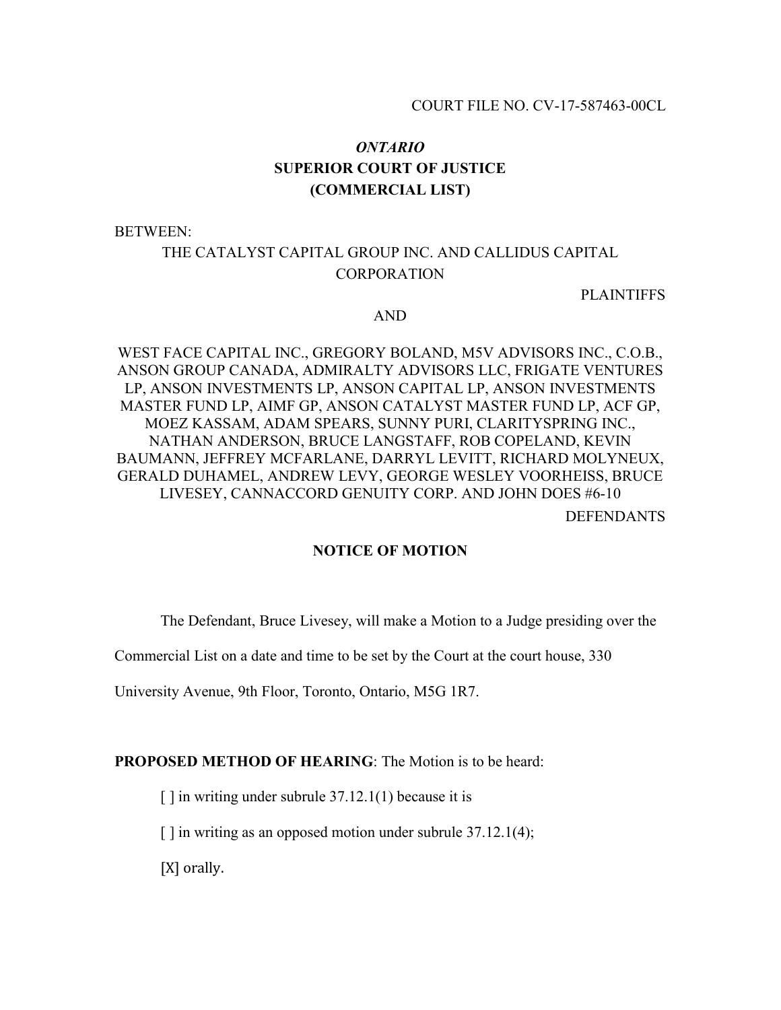# *ONTARIO* **SUPERIOR COURT OF JUSTICE (COMMERCIAL LIST)**

BETWEEN:

# THE CATALYST CAPITAL GROUP INC. AND CALLIDUS CAPITAL **CORPORATION**

PLAINTIFFS

#### AND

WEST FACE CAPITAL INC., GREGORY BOLAND, M5V ADVISORS INC., C.O.B., ANSON GROUP CANADA, ADMIRALTY ADVISORS LLC, FRIGATE VENTURES LP, ANSON INVESTMENTS LP, ANSON CAPITAL LP, ANSON INVESTMENTS MASTER FUND LP, AIMF GP, ANSON CATALYST MASTER FUND LP, ACF GP, MOEZ KASSAM, ADAM SPEARS, SUNNY PURI, CLARITYSPRING INC., NATHAN ANDERSON, BRUCE LANGSTAFF, ROB COPELAND, KEVIN BAUMANN, JEFFREY MCFARLANE, DARRYL LEVITT, RICHARD MOLYNEUX, GERALD DUHAMEL, ANDREW LEVY, GEORGE WESLEY VOORHEISS, BRUCE LIVESEY, CANNACCORD GENUITY CORP. AND JOHN DOES #6-10

DEFENDANTS

#### **NOTICE OF MOTION**

The Defendant, Bruce Livesey, will make a Motion to a Judge presiding over the

Commercial List on a date and time to be set by the Court at the court house, 330

University Avenue, 9th Floor, Toronto, Ontario, M5G 1R7.

#### **PROPOSED METHOD OF HEARING:** The Motion is to be heard:

 $\lceil \cdot \rceil$  in writing under subrule 37.12.1(1) because it is

[] in writing as an opposed motion under subrule 37.12.1(4);

[X] orally.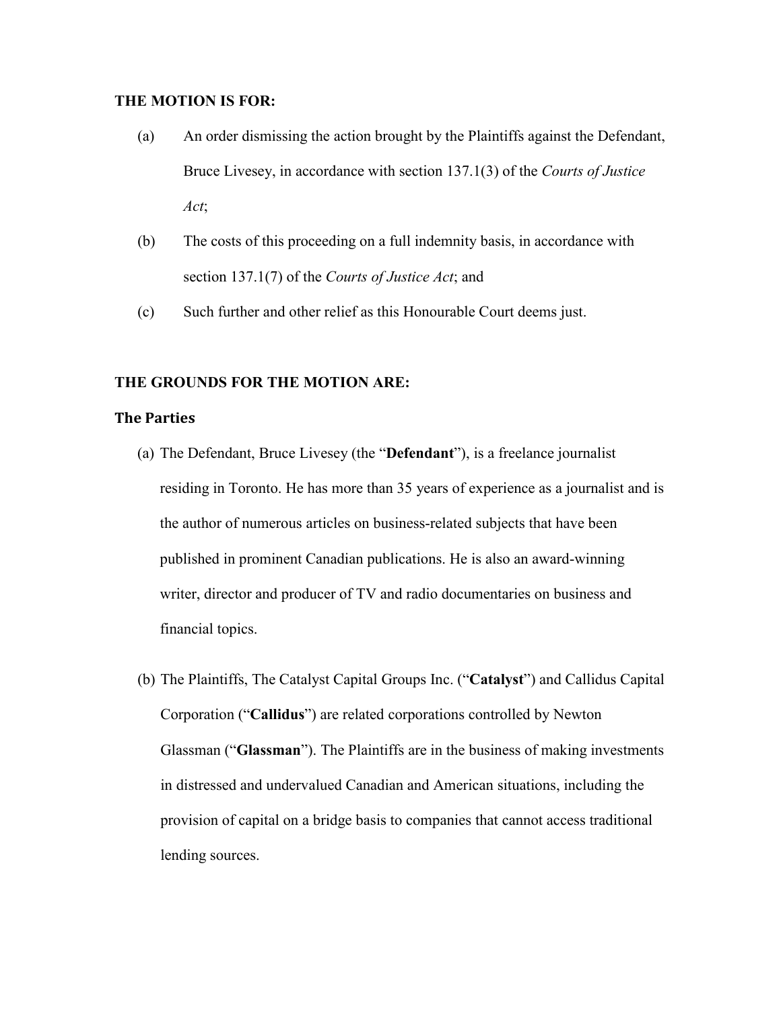# **THE MOTION IS FOR:**

- (a) An order dismissing the action brought by the Plaintiffs against the Defendant, Bruce Livesey, in accordance with section 137.1(3) of the *Courts of Justice Act*;
- (b) The costs of this proceeding on a full indemnity basis, in accordance with section 137.1(7) of the *Courts of Justice Act*; and
- (c) Such further and other relief as this Honourable Court deems just.

# **THE GROUNDS FOR THE MOTION ARE:**

## **The Parties**

- (a) The Defendant, Bruce Livesey (the "**Defendant**"), is a freelance journalist residing in Toronto. He has more than 35 years of experience as a journalist and is the author of numerous articles on business-related subjects that have been published in prominent Canadian publications. He is also an award-winning writer, director and producer of TV and radio documentaries on business and financial topics.
- (b) The Plaintiffs, The Catalyst Capital Groups Inc. ("**Catalyst**") and Callidus Capital Corporation ("**Callidus**") are related corporations controlled by Newton Glassman ("**Glassman**"). The Plaintiffs are in the business of making investments in distressed and undervalued Canadian and American situations, including the provision of capital on a bridge basis to companies that cannot access traditional lending sources.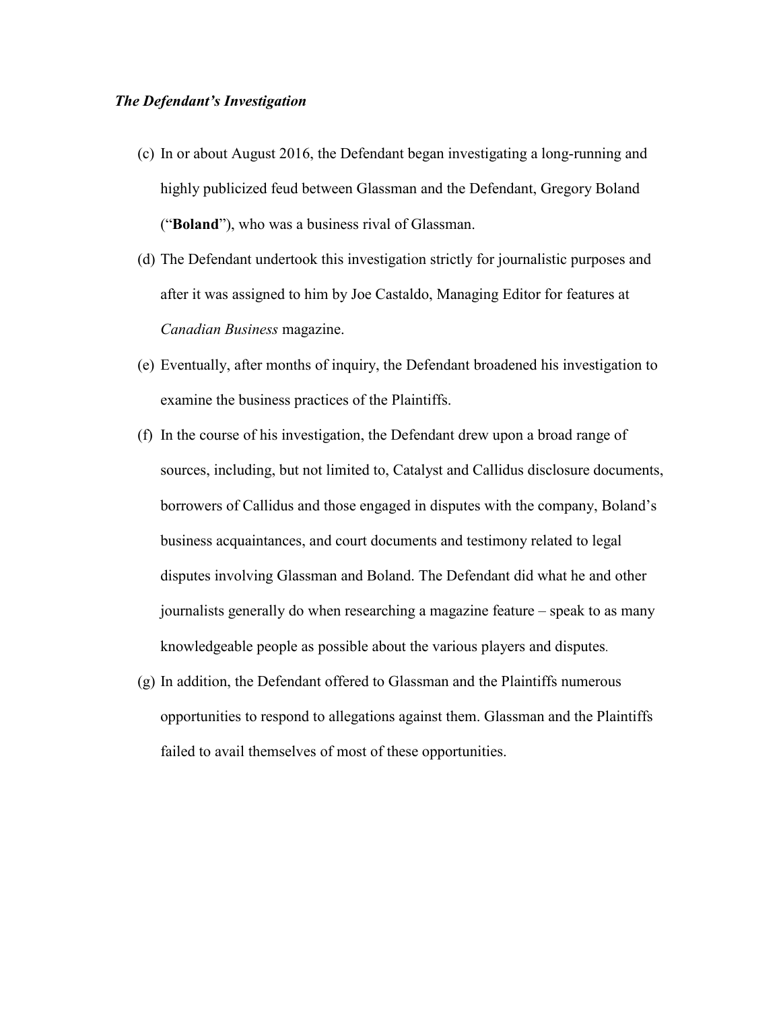#### *The Defendant's Investigation*

- (c) In or about August 2016, the Defendant began investigating a long-running and highly publicized feud between Glassman and the Defendant, Gregory Boland ("**Boland**"), who was a business rival of Glassman.
- (d) The Defendant undertook this investigation strictly for journalistic purposes and after it was assigned to him by Joe Castaldo, Managing Editor for features at *Canadian Business* magazine.
- (e) Eventually, after months of inquiry, the Defendant broadened his investigation to examine the business practices of the Plaintiffs.
- (f) In the course of his investigation, the Defendant drew upon a broad range of sources, including, but not limited to, Catalyst and Callidus disclosure documents, borrowers of Callidus and those engaged in disputes with the company, Boland's business acquaintances, and court documents and testimony related to legal disputes involving Glassman and Boland. The Defendant did what he and other journalists generally do when researching a magazine feature – speak to as many knowledgeable people as possible about the various players and disputes.
- (g) In addition, the Defendant offered to Glassman and the Plaintiffs numerous opportunities to respond to allegations against them. Glassman and the Plaintiffs failed to avail themselves of most of these opportunities.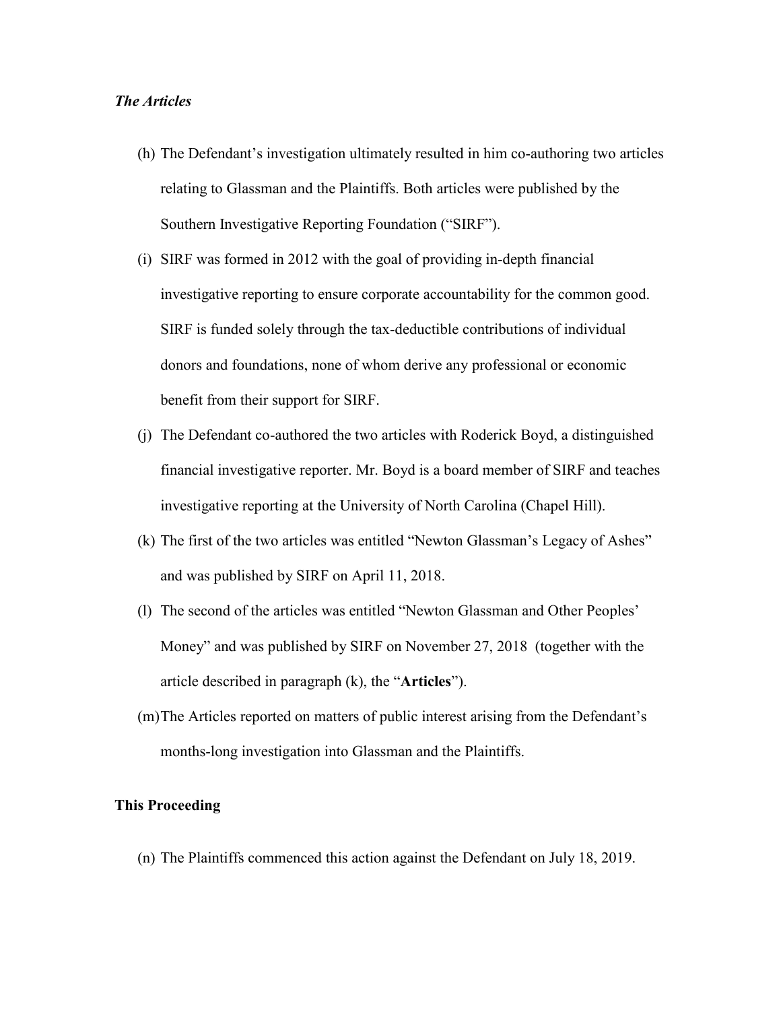### *The Articles*

- (h) The Defendant's investigation ultimately resulted in him co-authoring two articles relating to Glassman and the Plaintiffs. Both articles were published by the Southern Investigative Reporting Foundation ("SIRF").
- (i) SIRF was formed in 2012 with the goal of providing in-depth financial investigative reporting to ensure corporate accountability for the common good. SIRF is funded solely through the tax-deductible contributions of individual donors and foundations, none of whom derive any professional or economic benefit from their support for SIRF.
- (j) The Defendant co-authored the two articles with Roderick Boyd, a distinguished financial investigative reporter. Mr. Boyd is a board member of SIRF and teaches investigative reporting at the University of North Carolina (Chapel Hill).
- (k) The first of the two articles was entitled "Newton Glassman's Legacy of Ashes" and was published by SIRF on April 11, 2018.
- (l) The second of the articles was entitled "Newton Glassman and Other Peoples' Money" and was published by SIRF on November 27, 2018 (together with the article described in paragraph (k), the "**Articles**").
- (m)The Articles reported on matters of public interest arising from the Defendant's months-long investigation into Glassman and the Plaintiffs.

## **This Proceeding**

(n) The Plaintiffs commenced this action against the Defendant on July 18, 2019.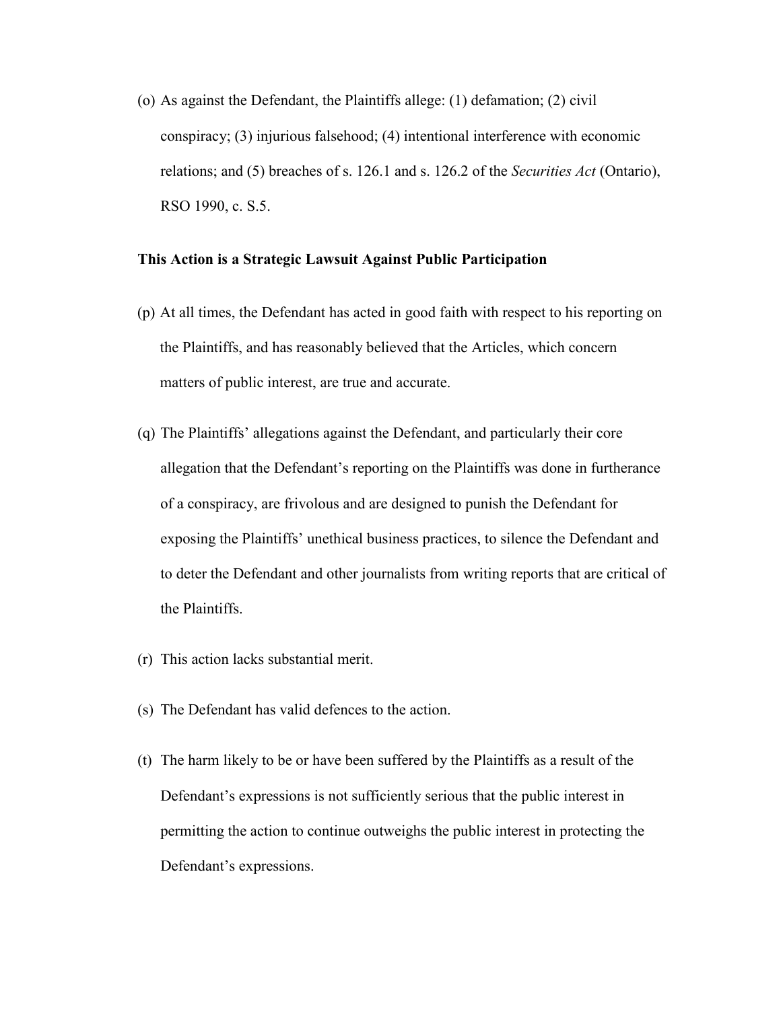(o) As against the Defendant, the Plaintiffs allege: (1) defamation; (2) civil conspiracy; (3) injurious falsehood; (4) intentional interference with economic relations; and (5) breaches of s. 126.1 and s. 126.2 of the *Securities Act* (Ontario), RSO 1990, c. S.5.

#### **This Action is a Strategic Lawsuit Against Public Participation**

- (p) At all times, the Defendant has acted in good faith with respect to his reporting on the Plaintiffs, and has reasonably believed that the Articles, which concern matters of public interest, are true and accurate.
- (q) The Plaintiffs' allegations against the Defendant, and particularly their core allegation that the Defendant's reporting on the Plaintiffs was done in furtherance of a conspiracy, are frivolous and are designed to punish the Defendant for exposing the Plaintiffs' unethical business practices, to silence the Defendant and to deter the Defendant and other journalists from writing reports that are critical of the Plaintiffs.
- (r) This action lacks substantial merit.
- (s) The Defendant has valid defences to the action.
- (t) The harm likely to be or have been suffered by the Plaintiffs as a result of the Defendant's expressions is not sufficiently serious that the public interest in permitting the action to continue outweighs the public interest in protecting the Defendant's expressions.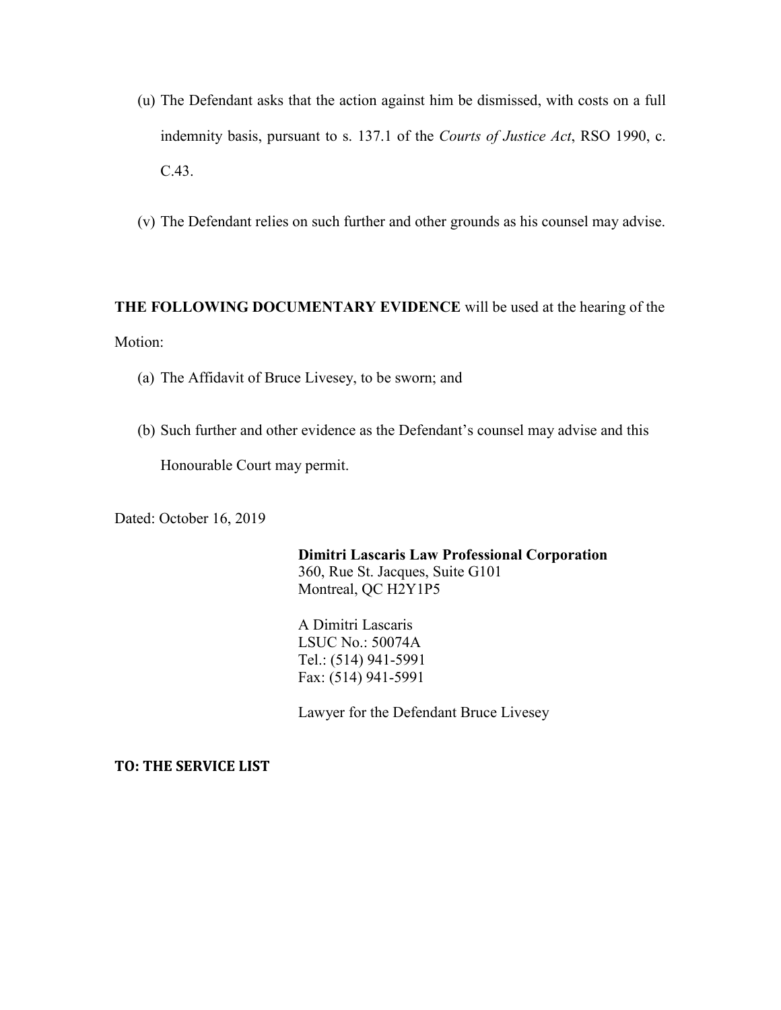- (u) The Defendant asks that the action against him be dismissed, with costs on a full indemnity basis, pursuant to s. 137.1 of the *Courts of Justice Act*, RSO 1990, c. C.43.
- (v) The Defendant relies on such further and other grounds as his counsel may advise.

# **THE FOLLOWING DOCUMENTARY EVIDENCE** will be used at the hearing of the Motion:

- (a) The Affidavit of Bruce Livesey, to be sworn; and
- (b) Such further and other evidence as the Defendant's counsel may advise and this

Honourable Court may permit.

Dated: October 16, 2019

**Dimitri Lascaris Law Professional Corporation**  360, Rue St. Jacques, Suite G101 Montreal, QC H2Y1P5

A Dimitri Lascaris LSUC No.: 50074A Tel.: (514) 941-5991 Fax: (514) 941-5991

Lawyer for the Defendant Bruce Livesey

**TO: THE SERVICE LIST**